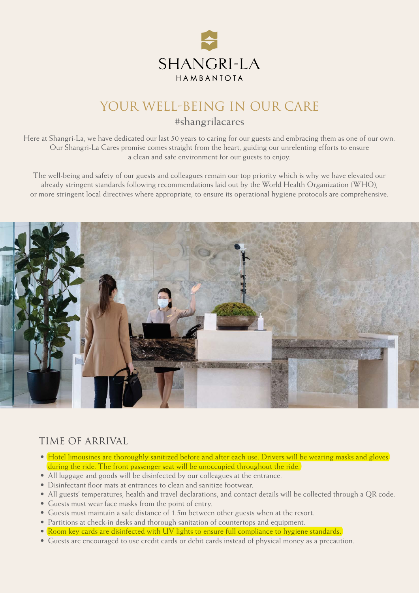

# YOUR WELL-BEING IN OUR CARE

#### #shangrilacares

Here at Shangri-La, we have dedicated our last 50 years to caring for our guests and embracing them as one of our own. Our Shangri-La Cares promise comes straight from the heart, guiding our unrelenting efforts to ensure a clean and safe environment for our guests to enjoy.

The well-being and safety of our guests and colleagues remain our top priority which is why we have elevated our already stringent standards following recommendations laid out by the World Health Organization (WHO), or more stringent local directives where appropriate, to ensure its operational hygiene protocols are comprehensive.



#### TIME OF ARRIVAL

- Hotel limousines are thoroughly sanitized before and after each use. Drivers will be wearing masks and gloves during the ride. The front passenger seat will be unoccupied throughout the ride.
- All luggage and goods will be disinfected by our colleagues at the entrance.
- Disinfectant floor mats at entrances to clean and sanitize footwear.
- All guests' temperatures, health and travel declarations, and contact details will be collected through a QR code.
- Guests must wear face masks from the point of entry.
- Guests must maintain a safe distance of 1.5m between other guests when at the resort.
- Partitions at check-in desks and thorough sanitation of countertops and equipment.
- Room key cards are disinfected with UV lights to ensure full compliance to hygiene standards.
- Guests are encouraged to use credit cards or debit cards instead of physical money as a precaution.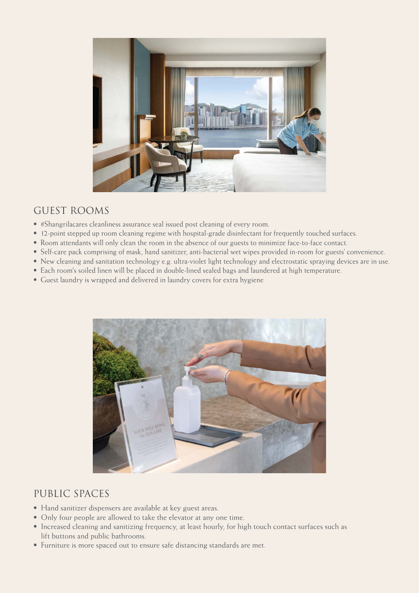

### GUEST ROOMS

- #Shangrilacares cleanliness assurance seal issued post cleaning of every room.
- 12-point stepped up room cleaning regime with hospital-grade disinfectant for frequently touched surfaces.
- Room attendants will only clean the room in the absence of our guests to minimize face-to-face contact.
- Self-care pack comprising of mask, hand sanitizer, anti-bacterial wet wipes provided in-room for guests' convenience.
- New cleaning and sanitation technology e.g. ultra-violet light technology and electrostatic spraying devices are in use.
- Each room's soiled linen will be placed in double-lined sealed bags and laundered at high temperature.
- Guest laundry is wrapped and delivered in laundry covers for extra hygiene



#### PUBLIC SPACES

- Hand sanitizer dispensers are available at key guest areas.
- Only four people are allowed to take the elevator at any one time.
- Increased cleaning and sanitizing frequency, at least hourly, for high touch contact surfaces such as lift buttons and public bathrooms.
- Furniture is more spaced out to ensure safe distancing standards are met.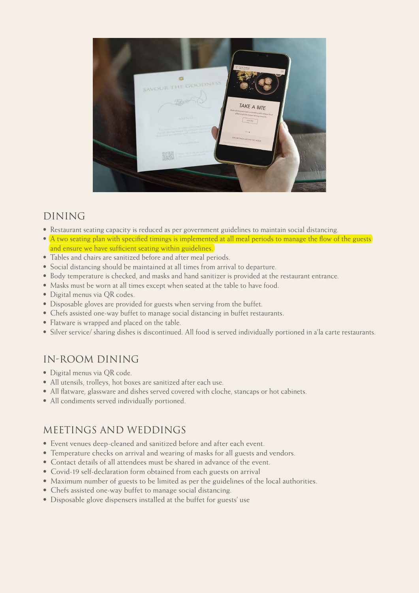

## DINING

- Restaurant seating capacity is reduced as per government guidelines to maintain social distancing.
- A two seating plan with specified timings is implemented at all meal periods to manage the flow of the guests and ensure we have sufficient seating within guidelines.
- Tables and chairs are sanitized before and after meal periods.
- Social distancing should be maintained at all times from arrival to departure.
- Body temperature is checked, and masks and hand sanitizer is provided at the restaurant entrance.
- Masks must be worn at all times except when seated at the table to have food.
- Digital menus via QR codes.
- Disposable gloves are provided for guests when serving from the buffet.
- Chefs assisted one-way buffet to manage social distancing in buffet restaurants.
- Flatware is wrapped and placed on the table.
- Silver service/ sharing dishes is discontinued. All food is served individually portioned in a'la carte restaurants.

#### IN-ROOM DINING

- Digital menus via QR code.
- All utensils, trolleys, hot boxes are sanitized after each use.
- All flatware, glassware and dishes served covered with cloche, stancaps or hot cabinets.
- All condiments served individually portioned.

#### MEETINGS AND WEDDINGS

- Event venues deep-cleaned and sanitized before and after each event.
- Temperature checks on arrival and wearing of masks for all guests and vendors.
- Contact details of all attendees must be shared in advance of the event.
- Covid-19 self-declaration form obtained from each guests on arrival
- Maximum number of guests to be limited as per the guidelines of the local authorities.
- Chefs assisted one-way buffet to manage social distancing.
- Disposable glove dispensers installed at the buffet for guests' use